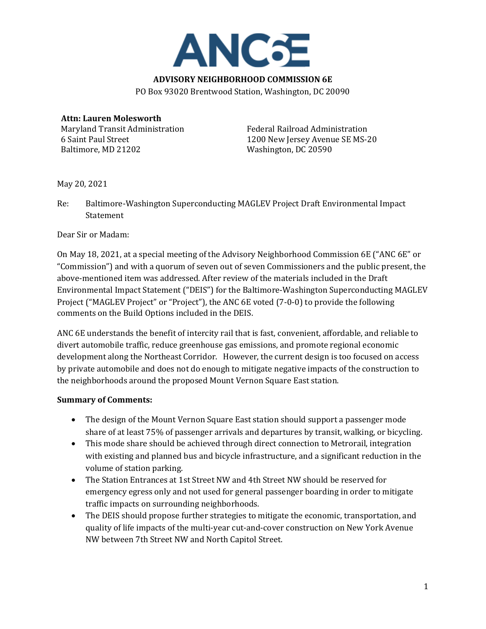

PO Box 93020 Brentwood Station, Washington, DC 20090

# **Attn: Lauren Molesworth**

Maryland Transit Administration 6 Saint Paul Street Baltimore, MD 21202

Federal Railroad Administration 1200 New Jersey Avenue SE MS-20 Washington, DC 20590

May 20, 2021

Re: Baltimore-Washington Superconducting MAGLEV Project Draft Environmental Impact **Statement** 

Dear Sir or Madam:

On May 18, 2021, at a special meeting of the Advisory Neighborhood Commission 6E ("ANC 6E" or "Commission") and with a quorum of seven out of seven Commissioners and the public present, the above-mentioned item was addressed. After review of the materials included in the Draft Environmental Impact Statement ("DEIS") for the Baltimore-Washington Superconducting MAGLEV Project ("MAGLEV Project" or "Project"), the ANC 6E voted (7-0-0) to provide the following comments on the Build Options included in the DEIS.

ANC 6E understands the benefit of intercity rail that is fast, convenient, affordable, and reliable to divert automobile traffic, reduce greenhouse gas emissions, and promote regional economic development along the Northeast Corridor. However, the current design is too focused on access by private automobile and does not do enough to mitigate negative impacts of the construction to the neighborhoods around the proposed Mount Vernon Square East station.

#### **Summary of Comments:**

- The design of the Mount Vernon Square East station should support a passenger mode share of at least 75% of passenger arrivals and departures by transit, walking, or bicycling.
- This mode share should be achieved through direct connection to Metrorail, integration with existing and planned bus and bicycle infrastructure, and a significant reduction in the volume of station parking.
- The Station Entrances at 1st Street NW and 4th Street NW should be reserved for emergency egress only and not used for general passenger boarding in order to mitigate traffic impacts on surrounding neighborhoods.
- The DEIS should propose further strategies to mitigate the economic, transportation, and quality of life impacts of the multi-year cut-and-cover construction on New York Avenue NW between 7th Street NW and North Capitol Street.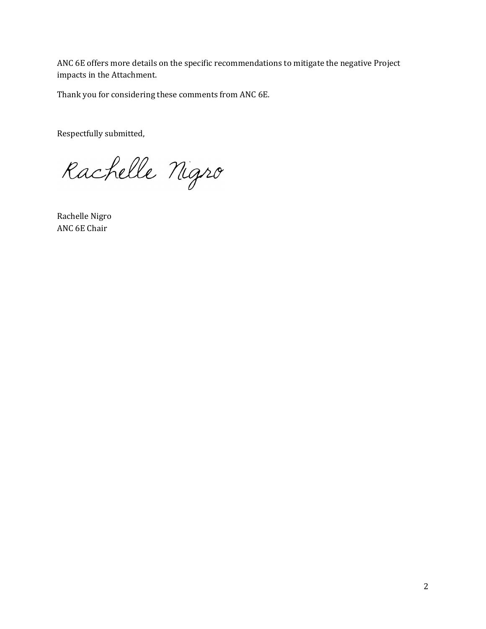ANC 6E offers more details on the specific recommendations to mitigate the negative Project impacts in the Attachment.

Thank you for considering these comments from ANC 6E.

Respectfully submitted,

Rachelle Nigro

Rachelle Nigro ANC 6E Chair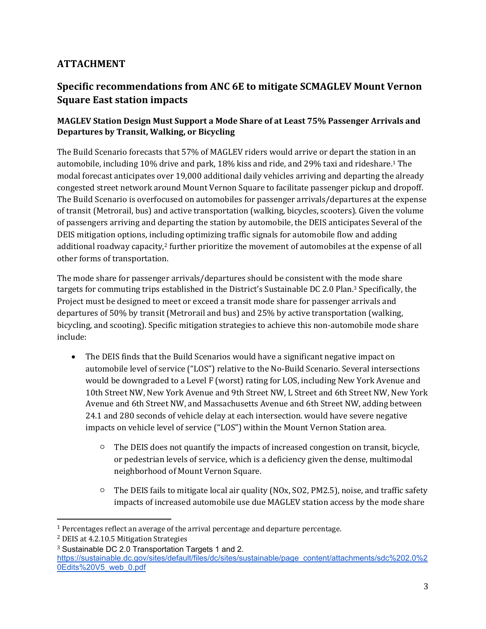## **ATTACHMENT**

# **Specific recommendations from ANC 6E to mitigate SCMAGLEV Mount Vernon Square East station impacts**

#### **MAGLEV Station Design Must Support a Mode Share of at Least 75% Passenger Arrivals and Departures by Transit, Walking, or Bicycling**

The Build Scenario forecasts that 57% of MAGLEV riders would arrive or depart the station in an automobile, including 10% drive and park, 18% kiss and ride, and 29% taxi and rideshare.1 The modal forecast anticipates over 19,000 additional daily vehicles arriving and departing the already congested street network around Mount Vernon Square to facilitate passenger pickup and dropoff. The Build Scenario is overfocused on automobiles for passenger arrivals/departures at the expense of transit (Metrorail, bus) and active transportation (walking, bicycles, scooters). Given the volume of passengers arriving and departing the station by automobile, the DEIS anticipates Several of the DEIS mitigation options, including optimizing traffic signals for automobile flow and adding additional roadway capacity, $2$  further prioritize the movement of automobiles at the expense of all other forms of transportation.

The mode share for passenger arrivals/departures should be consistent with the mode share targets for commuting trips established in the District's Sustainable DC 2.0 Plan.<sup>3</sup> Specifically, the Project must be designed to meet or exceed a transit mode share for passenger arrivals and departures of 50% by transit (Metrorail and bus) and 25% by active transportation (walking, bicycling, and scooting). Specific mitigation strategies to achieve this non-automobile mode share include:

- The DEIS finds that the Build Scenarios would have a significant negative impact on automobile level of service ("LOS") relative to the No-Build Scenario. Several intersections would be downgraded to a Level F (worst) rating for LOS, including New York Avenue and 10th Street NW, New York Avenue and 9th Street NW, L Street and 6th Street NW, New York Avenue and 6th Street NW, and Massachusetts Avenue and 6th Street NW, adding between 24.1 and 280 seconds of vehicle delay at each intersection. would have severe negative impacts on vehicle level of service ("LOS") within the Mount Vernon Station area.
	- $\circ$  The DEIS does not quantify the impacts of increased congestion on transit, bicycle, or pedestrian levels of service, which is a deficiency given the dense, multimodal neighborhood of Mount Vernon Square.
	- $\circ$  The DEIS fails to mitigate local air quality (NOx, SO2, PM2.5), noise, and traffic safety impacts of increased automobile use due MAGLEV station access by the mode share

<sup>&</sup>lt;sup>1</sup> Percentages reflect an average of the arrival percentage and departure percentage.

<sup>2</sup> DEIS at 4.2.10.5 Mitigation Strategies

<sup>3</sup> Sustainable DC 2.0 Transportation Targets 1 and 2.

https://sustainable.dc.gov/sites/default/files/dc/sites/sustainable/page\_content/attachments/sdc%202.0%2 0Edits%20V5\_web\_0.pdf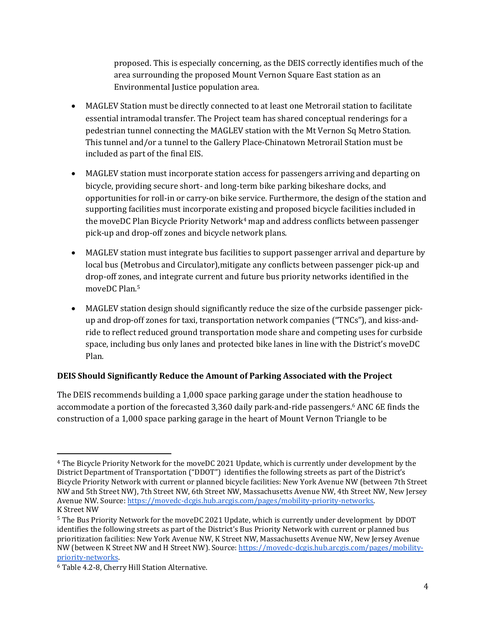proposed. This is especially concerning, as the DEIS correctly identifies much of the area surrounding the proposed Mount Vernon Square East station as an Environmental Justice population area.

- MAGLEV Station must be directly connected to at least one Metrorail station to facilitate essential intramodal transfer. The Project team has shared conceptual renderings for a pedestrian tunnel connecting the MAGLEV station with the Mt Vernon Sq Metro Station. This tunnel and/or a tunnel to the Gallery Place-Chinatown Metrorail Station must be included as part of the final EIS.
- MAGLEV station must incorporate station access for passengers arriving and departing on bicycle, providing secure short- and long-term bike parking bikeshare docks, and opportunities for roll-in or carry-on bike service. Furthermore, the design of the station and supporting facilities must incorporate existing and proposed bicycle facilities included in the moveDC Plan Bicycle Priority Network<sup>4</sup> map and address conflicts between passenger pick-up and drop-off zones and bicycle network plans.
- MAGLEV station must integrate bus facilities to support passenger arrival and departure by local bus (Metrobus and Circulator),mitigate any conflicts between passenger pick-up and drop-off zones, and integrate current and future bus priority networks identified in the moveDC Plan.5
- MAGLEV station design should significantly reduce the size of the curbside passenger pickup and drop-off zones for taxi, transportation network companies ("TNCs"), and kiss-andride to reflect reduced ground transportation mode share and competing uses for curbside space, including bus only lanes and protected bike lanes in line with the District's moveDC Plan.

### **DEIS Should Significantly Reduce the Amount of Parking Associated with the Project**

The DEIS recommends building a 1,000 space parking garage under the station headhouse to accommodate a portion of the forecasted 3,360 daily park-and-ride passengers.6 ANC 6E finds the construction of a 1,000 space parking garage in the heart of Mount Vernon Triangle to be

<sup>4</sup> The Bicycle Priority Network for the moveDC 2021 Update, which is currently under development by the District Department of Transportation ("DDOT") identifies the following streets as part of the District's Bicycle Priority Network with current or planned bicycle facilities: New York Avenue NW (between 7th Street NW and 5th Street NW), 7th Street NW, 6th Street NW, Massachusetts Avenue NW, 4th Street NW, New Jersey Avenue NW. Source: https://movedc-dcgis.hub.arcgis.com/pages/mobility-priority-networks. K Street NW

<sup>5</sup> The Bus Priority Network for the moveDC 2021 Update, which is currently under development by DDOT identifies the following streets as part of the District's Bus Priority Network with current or planned bus prioritization facilities: New York Avenue NW, K Street NW, Massachusetts Avenue NW, New Jersey Avenue NW (between K Street NW and H Street NW). Source: https://movedc-dcgis.hub.arcgis.com/pages/mobilitypriority-networks.

<sup>6</sup> Table 4.2-8, Cherry Hill Station Alternative.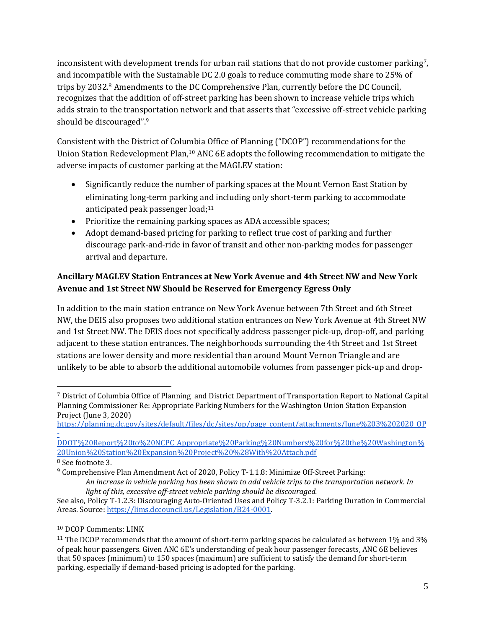inconsistent with development trends for urban rail stations that do not provide customer parking<sup>7</sup>, and incompatible with the Sustainable DC 2.0 goals to reduce commuting mode share to 25% of trips by 2032.8 Amendments to the DC Comprehensive Plan, currently before the DC Council, recognizes that the addition of off-street parking has been shown to increase vehicle trips which adds strain to the transportation network and that asserts that "excessive off-street vehicle parking should be discouraged".9

Consistent with the District of Columbia Office of Planning ("DCOP") recommendations for the Union Station Redevelopment Plan,10 ANC 6E adopts the following recommendation to mitigate the adverse impacts of customer parking at the MAGLEV station:

- Significantly reduce the number of parking spaces at the Mount Vernon East Station by eliminating long-term parking and including only short-term parking to accommodate anticipated peak passenger load; $11$
- Prioritize the remaining parking spaces as ADA accessible spaces;
- Adopt demand-based pricing for parking to reflect true cost of parking and further discourage park-and-ride in favor of transit and other non-parking modes for passenger arrival and departure.

### Ancillary MAGLEV Station Entrances at New York Avenue and 4th Street NW and New York Avenue and 1st Street NW Should be Reserved for Emergency Egress Only

In addition to the main station entrance on New York Avenue between 7th Street and 6th Street NW, the DEIS also proposes two additional station entrances on New York Avenue at 4th Street NW and 1st Street NW. The DEIS does not specifically address passenger pick-up, drop-off, and parking adjacent to these station entrances. The neighborhoods surrounding the 4th Street and 1st Street stations are lower density and more residential than around Mount Vernon Triangle and are unlikely to be able to absorb the additional automobile volumes from passenger pick-up and drop-

https://planning.dc.gov/sites/default/files/dc/sites/op/page\_content/attachments/June%203%202020\_OP -

DDOT%20Report%20to%20NCPC\_Appropriate%20Parking%20Numbers%20for%20the%20Washington% 20Union%20Station%20Expansion%20Project%20%28With%20Attach.pdf

<sup>7</sup> District of Columbia Office of Planning and District Department of Transportation Report to National Capital Planning Commissioner Re: Appropriate Parking Numbers for the Washington Union Station Expansion Project (June 3, 2020)

<sup>8</sup> See footnote 3.

<sup>9</sup> Comprehensive Plan Amendment Act of 2020, Policy T-1.1.8: Minimize Off-Street Parking:

An increase in vehicle parking has been shown to add vehicle trips to the transportation network. In *light of this, excessive off-street vehicle parking should be discouraged.* 

See also, Policy T-1.2.3: Discouraging Auto-Oriented Uses and Policy T-3.2.1: Parking Duration in Commercial Areas. Source: https://lims.dccouncil.us/Legislation/B24-0001.

<sup>10</sup> DCOP Comments: LINK

<sup>&</sup>lt;sup>11</sup> The DCOP recommends that the amount of short-term parking spaces be calculated as between 1% and 3% of peak hour passengers. Given ANC 6E's understanding of peak hour passenger forecasts, ANC 6E believes that 50 spaces (minimum) to 150 spaces (maximum) are sufficient to satisfy the demand for short-term parking, especially if demand-based pricing is adopted for the parking.